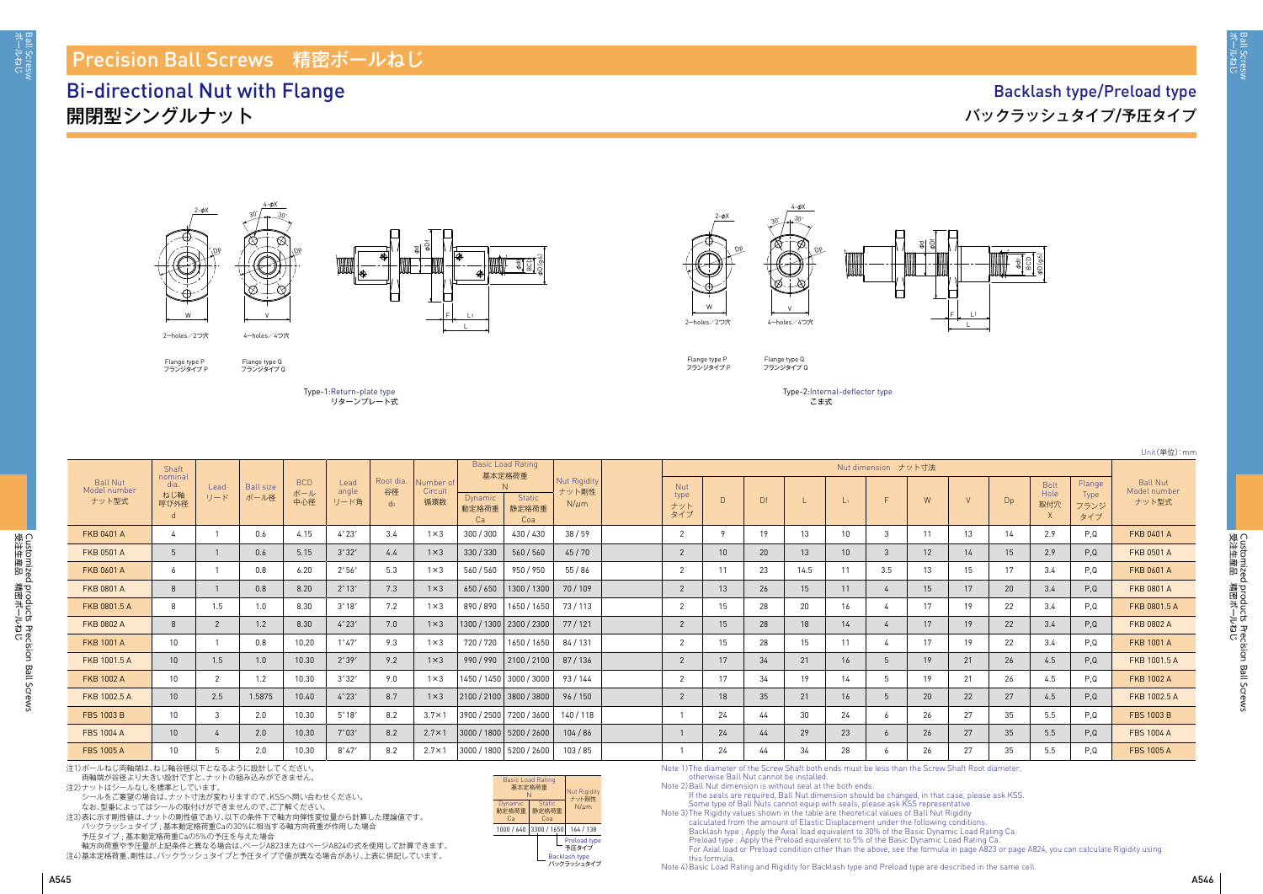ボールねじ Ball Scresw

sall Scresw<br>ボールねじ

Unit(単位):mm

|                                          | Shaft                          |                |                          |                          |                       |                                   |                            | <b>Basic Load Rating</b><br>基本定格荷重 |                                    |                                           | Nut dimension ナット寸法              |    |    |      |                 |                |    |    |    |                            |                               |                                          |
|------------------------------------------|--------------------------------|----------------|--------------------------|--------------------------|-----------------------|-----------------------------------|----------------------------|------------------------------------|------------------------------------|-------------------------------------------|----------------------------------|----|----|------|-----------------|----------------|----|----|----|----------------------------|-------------------------------|------------------------------------------|
| <b>Ball Nut</b><br>Model number<br>ナット型式 | nominal<br>dia.<br>ねじ軸<br>呼び外径 | Lead<br>リード    | <b>Ball size</b><br>ボール径 | <b>BCD</b><br>ボール<br>中心径 | Lead<br>angle<br>リード角 | Root dia.<br>谷径<br>d <sub>0</sub> | Number o<br>Circuit<br>循環数 | <b>Dynamic</b><br>動定格荷重<br>Ca      | N<br><b>Static</b><br>静定格荷重<br>Coa | <b>Nut Rigidity</b><br>ナット剛性<br>$N/\mu m$ | <b>Nut</b><br>type<br>ナット<br>タイプ |    | Df |      |                 |                | W  |    | Dp | <b>Bolt</b><br>Hole<br>取付穴 | Flange<br>Type<br>フランジ<br>タイプ | <b>Ball Nut</b><br>Model number<br>ナット型式 |
| <b>FKB 0401 A</b>                        |                                |                | 0.6                      | 4.15                     | $4^\circ 23'$         | 3.4                               | $1 \times 3$               | 300 / 300                          | 430 / 430                          | 38/59                                     | ົ                                |    | 19 | 13   |                 |                | 11 | 13 | 14 | 2.9                        | P.Q                           | <b>FKB 0401 A</b>                        |
| <b>FKB 0501 A</b>                        |                                |                | 0.6                      | 5.15                     | 3°32'                 | 4.4                               | $1 \times 3$               | 330 / 330                          | 560/560                            | 45/70                                     | $\overline{2}$                   | 10 | 20 | 13   | 10 <sup>°</sup> | -3             | 12 | 14 | 15 | 2.9                        | P,Q                           | FKB 0501 A                               |
| <b>FKB 0601 A</b>                        | -6                             |                | 0.8                      | 6.20                     | 2°56'                 | 5.3                               | $1 \times 3$               | 560 / 560                          | 950 / 950                          | 55/86                                     | $\overline{2}$                   |    | 23 | 14.5 | -11             | 3.5            | 13 | 15 | 17 | 3.4                        | P,Q                           | FKB 0601 A                               |
| <b>FKB 0801 A</b>                        | -8                             |                | 0.8                      | 8.20                     | $2^{\circ}13'$        | 7.3                               | $1 \times 3$               | 650 / 650                          | 1300 / 1300                        | 70/109                                    |                                  | 13 | 26 | 15   | 11              | $\overline{4}$ | 15 |    | 20 | 3.4                        | P,Q                           | FKB 0801 A                               |
| FKB 0801.5 A                             | 8                              | 1.5            | 1.0                      | 8.30                     | $3^\circ 18'$         | 7.2                               | $1 \times 3$               | 890 / 890                          | 1650 / 1650                        | 73 / 113                                  |                                  | 15 | 28 | 20   | 16              |                | 17 | 19 | 22 | 3.4                        | P,Q                           | FKB 0801.5 A                             |
| <b>FKB 0802 A</b>                        | 8                              | $\overline{2}$ | 1.2                      | 8.30                     | $4^{\circ}23'$        | 7.0                               | $1 \times 3$               |                                    | 1300 / 1300   2300 / 2300          | 77/121                                    |                                  | 15 | 28 | 18   | 14              |                | 17 |    | 22 | 3.4                        | P,Q                           | FKB 0802 A                               |
| <b>FKB 1001 A</b>                        | 10                             |                | 0.8                      | 10.20                    | $1^{\circ}47'$        | 9.3                               | $1 \times 3$               | 720 / 720                          | 1650 / 1650                        | 84 / 131                                  |                                  | 15 | 28 | 15   | 11              |                | 17 | 19 | 22 | 3.4                        | P.Q                           | <b>FKB 1001 A</b>                        |
| FKB 1001.5 A                             | 10                             | 1.5            | 1.0                      | 10.30                    | 2°39'                 | 9.2                               | $1 \times 3$               | 990/990                            | 2100/2100                          | 87/136                                    |                                  |    | 34 | 21   | 16              | 5              | 19 | 21 | 26 | 4.5                        | P,Q                           | FKB 1001.5 A                             |
| <b>FKB 1002 A</b>                        | 10                             | $\overline{2}$ | 1.2                      | 10.30                    | 3°32'                 | 9.0                               | $1 \times 3$               |                                    | 1450 / 1450   3000 / 3000          | 93/144                                    |                                  |    | 34 | 19   | 14              |                | 19 | 21 | 26 | 4.5                        | P.Q                           | <b>FKB 1002 A</b>                        |
| FKB 1002.5 A                             | 10                             | 2.5            | 1.5875                   | 10.40                    | 4°23'                 | 8.7                               | $1 \times 3$               |                                    | 2100 / 2100 3800 / 3800            | 96/150                                    | $\overline{2}$                   | 18 | 35 | 21   | 16              | -5             | 20 | 22 | 27 | 4.5                        | P,Q                           | FKB 1002.5 A                             |
| <b>FBS 1003 B</b>                        | 10                             | $\mathbf{3}$   | 2.0                      | 10.30                    | $5^{\circ}18'$        | 8.2                               | $3.7 \times 1$             |                                    | 3900 / 2500 7200 / 3600            | 140/118                                   |                                  | 24 | 44 | 30   | 24              | -6             | 26 | 27 | 35 | 5.5                        | P.Q                           | <b>FBS 1003 B</b>                        |
| <b>FBS 1004 A</b>                        | 10                             |                | 2.0                      | 10.30                    | $7^{\circ}03'$        | 8.2                               | $2.7 \times 1$             |                                    | 3000 / 1800   5200 / 2600          | 104/86                                    |                                  | 24 | 44 | 29   | 23              | 6              | 26 | 27 | 35 | 5.5                        | P,Q                           | <b>FBS 1004 A</b>                        |
| <b>FBS 1005 A</b>                        | 10                             |                | 2.0                      | 10.30                    | $8^\circ 47'$         | 8.2                               | $2.7 \times 1$             |                                    | 3000 / 1800   5200 / 2600          | 103/85                                    |                                  | 24 | 44 | 34   | 28              | 6              | 26 | 27 | 35 | 5.5                        | P,Q                           | <b>FBS 1005 A</b>                        |

注1)ボールねじ両軸端は、ねじ軸谷径以下となるように設計してください。

両軸端が谷径より大きい設計ですと、ナットの組み込みができません。

注2)ナットはシールなしを標準としています。

シールをご要望の場合は、ナット寸法が変わりますので、KSSへ問い合わせください。

なお、型番によってはシールの取付けができませんので、ご了解ください。

注3)表に示す剛性値は、ナットの剛性値であり、以下の条件下で軸方向弾性変位量から計算した理論値です。 バックラッシュタイプ ; 基本動定格荷重Caの30%に相当する軸方向荷重が作用した場合

予圧タイプ ; 基本動定格荷重Caの5%の予圧を与えた場合

軸方向荷重や予圧量が上記条件と異なる場合は、ぺージA823またはぺージA824の式を使用して計算できます。 注4)基本定格荷重、剛性は、バックラッシュタイプと予圧タイプで値が異なる場合があり、上表に併記しています。





Flange type P Flange type Q<br>フランジタイプ P フランジタイプ Q







Flange type P<br>フランジタイプ P

Flange type Q<br>フランジタイプ Q

4-φX

Type-1: Return-plate type リターンプレート式

# Precision Ball Screws 精密ボールねじ

## Bi-directional Nut with Flange 開閉型シングルナット

#### Backlash type/Preload type バックラッシュタイプ/予圧タイプ

Note 1) The diameter of the Screw Shaft both ends must be less than the Screw Shaft Root diameter, otherwise Ball Nut cannot be installed.

Note 2) Ball Nut dimension is without seal at the both ends.

If the seals are required, Ball Nut dimension should be changed, in that case, please ask KSS. Some type of Ball Nuts cannot equip with seals, please ask KSS representative. Note 3) The Rigidity values shown in the table are theoretical values of Ball Nut Rigidity

calculated from the amount of Elastic Displacement under the following conditions. Backlash type ; Apply the Axial load equivalent to 30% of the Basic Dynamic Load Rating Ca. Preload type ; Apply the Preload equivalent to 5% of the Basic Dynamic Load Rating Ca. For Axial load or Preload condition other than the above, see the formula in page A823 or page A824, you can calculate Rigidity using this formula.

Note 4) Basic Load Rating and Rigidity for Backlash type and Preload type are described in the same cell.

Type-2: Internal-deflector type こま式

| <b>Basic Load Rating</b><br>基本定格荷重<br>N | <b>Nut Rigidity</b><br>ナット剛性  |  |                                                      |  |  |  |  |  |
|-----------------------------------------|-------------------------------|--|------------------------------------------------------|--|--|--|--|--|
| Dynamic<br>動定格荷重<br>Cа                  | <b>Static</b><br>静定格荷重<br>Coa |  | $N/\mu$ m                                            |  |  |  |  |  |
| 1000 / 640                              | 3300 / 1650                   |  | 164 / 138                                            |  |  |  |  |  |
|                                         |                               |  | Preload type<br>予圧タイプ<br>Backlash type<br>バックラッシュタイプ |  |  |  |  |  |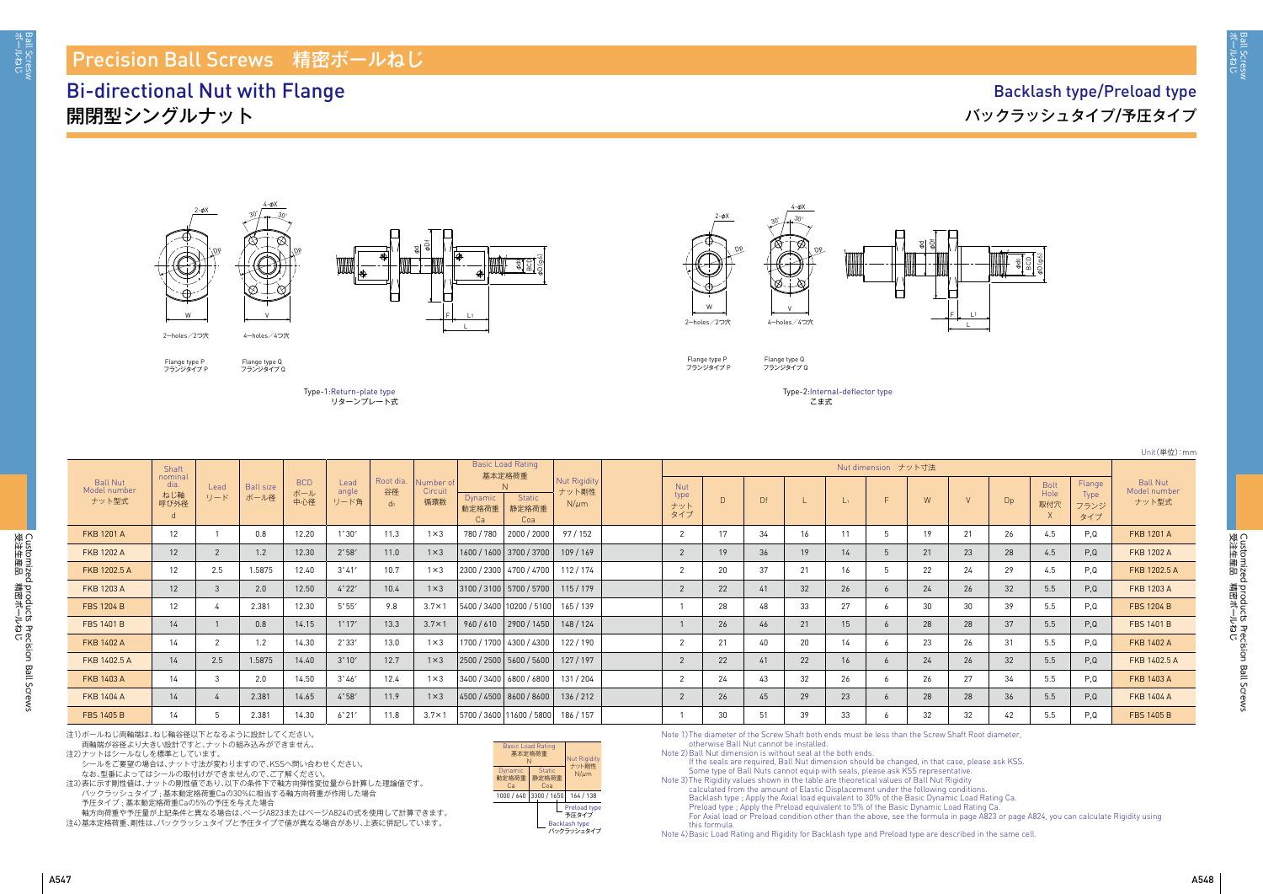ボールねじ Ball Scresw

iall Scresw<br>řールねじ

Customized products Precision Ball Screws<br>受注生産品 精密ボールねじ 受注生産品 講略洋 しち Customized products Precision Ball Screws

Unit(単位):mm

- 
- 
- 
- 

|                                   | Shaft                          |             |                          |                          |                       |                                   |                             |                        | <b>Basic Load Rating</b><br>基本定格荷重     |                                           |                                  |             |    |    |              |             |    |    |    |                            |                               |                                          |
|-----------------------------------|--------------------------------|-------------|--------------------------|--------------------------|-----------------------|-----------------------------------|-----------------------------|------------------------|----------------------------------------|-------------------------------------------|----------------------------------|-------------|----|----|--------------|-------------|----|----|----|----------------------------|-------------------------------|------------------------------------------|
| Ball Nut<br>Model number<br>ナット型式 | nominal<br>dia.<br>ねじ軸<br>呼び外径 | Lead<br>リード | <b>Ball size</b><br>ボール径 | <b>BCD</b><br>ボール<br>中心径 | Lead<br>angle<br>リード角 | Root dia.<br>谷径<br>d <sub>0</sub> | Number of<br>Circuit<br>循環数 | Dynamic<br>動定格荷重<br>Ca | <b>Static</b><br>静定格荷重<br>Coa          | <b>Nut Rigidity</b><br>ナット剛性<br>$N/\mu m$ | <b>Nut</b><br>type<br>ナット<br>タイプ |             | Df |    |              |             | W  |    | Dp | <b>Bolt</b><br>Hole<br>取付穴 | Flange<br>Type<br>フランジ<br>タイプ | <b>Ball Nut</b><br>Model number<br>ナット型式 |
| <b>FKB 1201 A</b>                 | $12 \overline{ }$              |             | 0.8                      | 12.20                    | $1^{\circ}30'$        | 11.3                              | $1 \times 3$                | 780 / 780              | 2000 / 2000                            | 97/152                                    |                                  | 17          | 34 | 16 | 11           |             | 19 | 21 | 26 | 4.5                        | P.Q                           | <b>FKB 1201 A</b>                        |
| <b>FKB 1202 A</b>                 | 12                             |             | 1.2                      | 12.30                    | $2^{\circ}58'$        | 11.0                              | $1 \times 3$                |                        | 1600 / 1600   3700 / 3700              | 109/169                                   |                                  | 19          | 36 | 19 | $14^{\circ}$ | $\mathbf b$ | 21 | 23 | 28 | 4.5                        | P,Q                           | <b>FKB 1202 A</b>                        |
| FKB 1202.5 A                      | 12                             | 2.5         | 1.5875                   | 12.40                    | $3^{\circ}41'$        | 10.7                              | $1 \times 3$                |                        | 2300 / 2300 4700 / 4700                | 112/174                                   |                                  | 20          | 37 | 21 | 16           | . ხ         | 22 | 24 | 29 | 4.5                        | P.Q                           | FKB 1202.5 A                             |
| <b>FKB 1203 A</b>                 | 12                             | 3           | 2.0                      | 12.50                    | 4°22'                 | 10.4                              | $1 \times 3$                |                        | 3100 / 3100   5700 / 5700              | 115/179                                   |                                  | 22          | 41 | 32 | 26           | $\ddot{o}$  | 24 | 26 | 32 | 5.5                        | P,Q                           | <b>FKB 1203 A</b>                        |
| <b>FBS 1204 B</b>                 | 12                             |             | 2.381                    | 12.30                    | $5^{\circ}55'$        | 9.8                               | $3.7 \times 1$              |                        | 5400 / 3400   10200 / 5100   165 / 139 |                                           |                                  | 28          | 48 | 33 | 27           | 6           | 30 | 30 | 39 | 5.5                        | P.Q                           | <b>FBS 1204 B</b>                        |
| <b>FBS 1401 B</b>                 | 14                             |             | 0.8                      | 14.15                    | $1^{\circ}17'$        | 13.3                              | $3.7 \times 1$              |                        | $960 / 610$   2900 / 1450              | 148/124                                   |                                  | 26          | 46 | 21 | 15           | $\sigma$    | 28 | 28 | 37 | 5.5                        | P,Q                           | <b>FBS 1401 B</b>                        |
| <b>FKB 1402 A</b>                 | 14                             |             | 1.2                      | 14.30                    | $2^{\circ}33'$        | 13.0                              | $1 \times 3$                |                        | 1700 / 1700 4300 / 4300                | 122/190                                   |                                  | $2^{\circ}$ | 40 | 20 | 14           | 6           | 23 | 26 | 31 | 5.5                        | P.Q                           | <b>FKB 1402 A</b>                        |
| FKB 1402.5 A                      | 14                             | 2.5         | 1.5875                   | 14.40                    | $3^{\circ}10'$        | 12.7                              | $1 \times 3$                |                        | 2500 / 2500   5600 / 5600              | 127/197                                   |                                  | 22          | 41 | 22 | 16           | 6           | 24 | 26 | 32 | 5.5                        | P,Q                           | FKB 1402.5 A                             |
| <b>FKB 1403 A</b>                 | 14                             | 3           | 2.0                      | 14.50                    | $3^{\circ}46'$        | 12.4                              | $1 \times 3$                |                        | 3400 / 3400   6800 / 6800              | 131/204                                   |                                  | 24          | 43 | 32 | 26           | -6          | 26 | 27 | 34 | 5.5                        | P.Q                           | <b>FKB 1403 A</b>                        |
| <b>FKB 1404 A</b>                 | 14                             |             | 2.381                    | 14.65                    | 4°58'                 | 11.9                              | $1 \times 3$                |                        | 4500 / 4500   8600 / 8600              | 136/212                                   |                                  | 26          | 45 | 29 | 23           | 6           | 28 | 28 | 36 | 5.5                        | P,Q                           | <b>FKB 1404 A</b>                        |
| <b>FBS 1405 B</b>                 | 14                             |             | 2.381                    | 14.30                    | 6°21'                 | 11.8                              | $3.7 \times 1$              |                        | 5700 / 3600   11600 / 5800             | 186 / 157                                 |                                  | 30          | 51 | 39 | 33           | 6           | 32 | 32 | 42 | 5.5                        | P,Q                           | <b>FBS 1405 B</b>                        |

## Precision Ball Screws 精密ボールねじ

## Bi-directional Nut with Flange 開閉型シングルナット

### Backlash type/Preload type バックラッシュタイプ/予圧タイプ



Flange type Q<br>フランジタイプ Q



Flange type P<br>フランジタイプ P







Flange type P<br>フランジタイプ P

Flange type Q<br>フランジタイプ Q

4-φX

Dp

注1)ボールねじ両軸端は、ねじ軸谷径以下となるように設計してください。 両軸端が谷径より大きい設計ですと、ナットの組み込みができません。

注2)ナットはシールなしを標準としています。

シールをご要望の場合は、ナット寸法が変わりますので、KSSへ問い合わせください。

なお、型番によってはシールの取付けができませんので、ご了解ください。

注3)表に示す剛性値は、ナットの剛性値であり、以下の条件下で軸方向弾性変位量から計算した理論値です。 バックラッシュタイプ ; 基本動定格荷重Caの30%に相当する軸方向荷重が作用した場合

予圧タイプ ; 基本動定格荷重Caの5%の予圧を与えた場合

軸方向荷重や予圧量が上記条件と異なる場合は、ぺージA823またはぺージA824の式を使用して計算できます。

。<br>注4)基本定格荷重、剛性は、バックラッシュタイプと予圧タイプで値が異なる場合があり、上表に併記しています。

Note 1) The diameter of the Screw Shaft both ends must be less than the Screw Shaft Root diameter, otherwise Ball Nut cannot be installed.

Note 2) Ball Nut dimension is without seal at the both ends.

If the seals are required, Ball Nut dimension should be changed, in that case, please ask KSS. Some type of Ball Nuts cannot equip with seals, please ask KSS representative.

Note 3) The Rigidity values shown in the table are theoretical values of Ball Nut Rigidity calculated from the amount of Elastic Displacement under the following conditions. Backlash type ; Apply the Axial load equivalent to 30% of the Basic Dynamic Load Rating Ca. Preload type ; Apply the Preload equivalent to 5% of the Basic Dynamic Load Rating Ca. For Axial load or Preload condition other than the above, see the formula in page A823 or page A824, you can calculate Rigidity using this formula.

Note 4) Basic Load Rating and Rigidity for Backlash type and Preload type are described in the same cell.



Backlash type バックラッシュタイプ 予圧タイプ

Type-1: Return-plate type リターンプレート式 Type-2: Internal-deflector type こま式